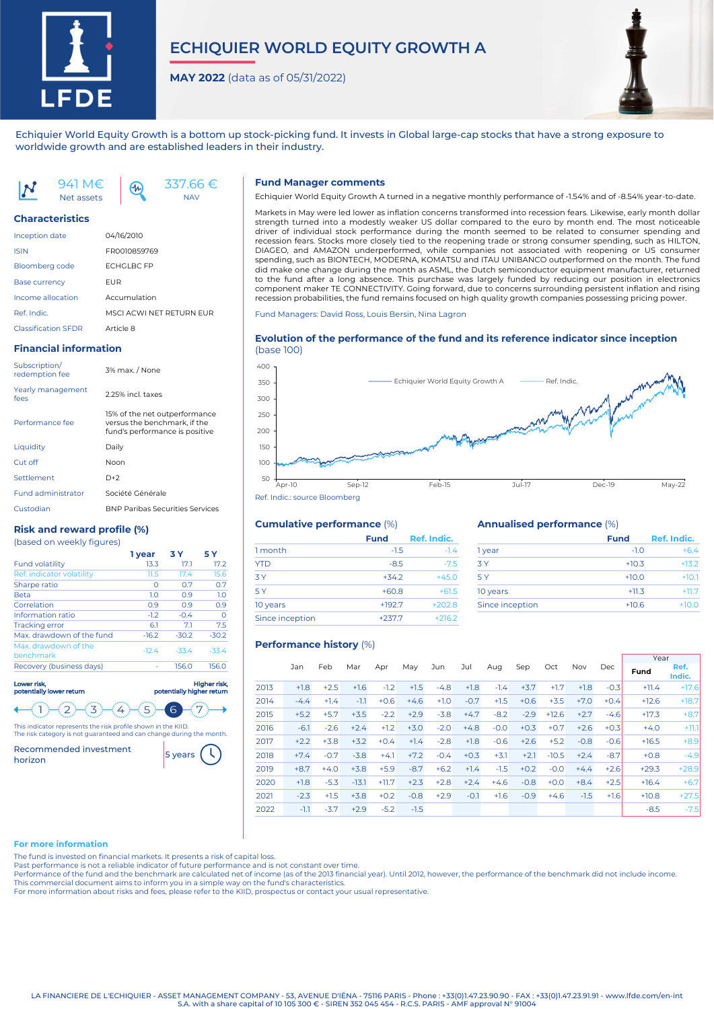

# **ECHIQUIER WORLD EQUITY GROWTH A**

**MAY 2022** (data as of 05/31/2022)

337.66 € NAV



Echiquier World Equity Growth is a bottom up stock-picking fund. It invests in Global large-cap stocks that have a strong exposure to worldwide growth and are established leaders in their industry.

941 M€  $4<sub>n</sub>$ Net assets

#### **Characteristics**

| <b>Inception date</b>      | 04/16/2010               |
|----------------------------|--------------------------|
| <b>ISIN</b>                | FR0010859769             |
| Bloomberg code             | <b>FCHGI BC FP</b>       |
| <b>Base currency</b>       | FUR                      |
| Income allocation          | Accumulation             |
| Ref. Indic.                | MSCI ACWI NFT RFTURN FUR |
| <b>Classification SFDR</b> | Article 8                |

#### **Financial information**

| Subscription/<br>redemption fee | 3% max. / None                                                                                  |
|---------------------------------|-------------------------------------------------------------------------------------------------|
| Yearly management<br>fees       | 2.25% incl. taxes                                                                               |
| Performance fee                 | 15% of the net outperformance<br>versus the benchmark, if the<br>fund's performance is positive |
| Liauidity                       | Daily                                                                                           |
| Cut off                         | Noon                                                                                            |
| Settlement                      | $D+2$                                                                                           |
| <b>Fund administrator</b>       | Société Générale                                                                                |
| Custodian                       | <b>BNP Paribas Securities Services</b>                                                          |

#### **Risk and reward profile (%)** (based on weekly figures)

|                                   | 1 vear  | 3 Y     | 5 Y     |
|-----------------------------------|---------|---------|---------|
| <b>Fund volatility</b>            | 13.3    | 17.1    | 17.2    |
| Ref. indicator volatility         | 11.5    | 17.4    | 15.6    |
| Sharpe ratio                      | O       | 0.7     | 0.7     |
| <b>Beta</b>                       | 1.0     | 0.9     | 1.0     |
| Correlation                       | 0.9     | 0.9     | 0.9     |
| Information ratio                 | $-1.2$  | $-0.4$  | O       |
| <b>Tracking error</b>             | 6.1     | 7.1     | 7.5     |
| Max, drawdown of the fund         | $-16.2$ | $-30.2$ | $-30.2$ |
| Max. drawdown of the<br>benchmark | $-12.4$ | $-33.4$ | $-33.4$ |
| Recovery (business days)          |         | 156.0   | 156.0   |
|                                   |         |         |         |

Lower risk, potentially lower return potentially higher return

3

 $4$ This indicator represents the risk profile shown in the KIID. The risk category is not guaranteed and can change during the month.

5

6

Recommended investment <mark>5 years</mark>

 $\overline{2}$ 



aher risk

#### **Fund Manager comments**

Echiquier World Equity Growth A turned in a negative monthly performance of -1.54% and of -8.54% year-to-date.

Markets in May were led lower as inflation concerns transformed into recession fears. Likewise, early month dollar strength turned into a modestly weaker US dollar compared to the euro by month end. The most noticeable driver of individual stock performance during the month seemed to be related to consumer spending and recession fears. Stocks more closely tied to the reopening trade or strong consumer spending, such as HILTON, DIAGEO, and AMAZON underperformed, while companies not associated with reopening or US consumer spending, such as BIONTECH, MODERNA, KOMATSU and ITAU UNIBANCO outperformed on the month. The fund did make one change during the month as ASML, the Dutch semiconductor equipment manufacturer, returned to the fund after a long absence. This purchase was largely funded by reducing our position in electronics component maker TE CONNECTIVITY. Going forward, due to concerns surrounding persistent inflation and rising recession probabilities, the fund remains focused on high quality growth companies possessing pricing power.

Fund Managers: David Ross, Louis Bersin, Nina Lagron

#### **Evolution of the performance of the fund and its reference indicator since inception** (base 100)



## **Cumulative performance** (%)

|                 | <b>Fund</b> | Ref. Indic. |
|-----------------|-------------|-------------|
| 1 month         | $-1.5$      | $-1.4$      |
| <b>YTD</b>      | $-8.5$      | $-7.5$      |
| 3Y              | $+34.2$     | $+45.0$     |
| 5 Y             | $+60.8$     | $+61.5$     |
| 10 years        | $+192.7$    | $+202.8$    |
| Since inception | $+237.7$    | $+216.2$    |

#### **Annualised performance** (%)

| <b>Fund</b> | Ref. Indic. |
|-------------|-------------|
| $-1O$       | $+6.4$      |
| $+10.3$     | $+13.2$     |
| $+10.0$     | $+10.1$     |
| $+11.3$     | $+11.7$     |
| $+10.6$     | $+10.0$     |
|             |             |

## **Performance history** (%)

|      |        |        |         |         |        |        |        |        |        |         |        |        | Year    |                |
|------|--------|--------|---------|---------|--------|--------|--------|--------|--------|---------|--------|--------|---------|----------------|
|      | Jan    | Feb    | Mar     | Apr     | May    | Jun    | Jul    | Aug    | Sep    | Oct     | Nov    | Dec    | Fund    | Ref.<br>Indic. |
| 2013 | $+1.8$ | $+2.5$ | $+1.6$  | $-1.2$  | $+1.5$ | $-4.8$ | $+1.8$ | $-1.4$ | $+3.7$ | $+1.7$  | $+1.8$ | $-0.3$ | $+11.4$ | $+17.6$        |
| 2014 | $-4.4$ | $+1.4$ | $-1.1$  | $+0.6$  | $+4.6$ | $+1.0$ | $-0.7$ | $+1.5$ | $+0.6$ | $+3.5$  | $+7.0$ | $+0.4$ | $+12.6$ | $+18.7$        |
| 2015 | $+5.2$ | $+5.7$ | $+3.5$  | $-2.2$  | $+2.9$ | $-3.8$ | $+4.7$ | $-8.2$ | $-2.9$ | $+12.6$ | $+2.7$ | $-4.6$ | $+17.3$ | $+8.7$         |
| 2016 | $-6.1$ | $-2.6$ | $+2.4$  | $+1.2$  | $+3.0$ | $-2.0$ | $+4.8$ | $-0.0$ | $+0.3$ | $+0.7$  | $+2.6$ | $+0.3$ | $+4.0$  | $+11.1$        |
| 2017 | $+2.2$ | $+3.8$ | $+3.2$  | $+0.4$  | $+1.4$ | $-2.8$ | $+1.8$ | $-0.6$ | $+2.6$ | $+5.2$  | $-0.8$ | $-0.6$ | $+16.5$ | $+8.9$         |
| 2018 | $+7.4$ | $-0.7$ | $-3.8$  | $+4.1$  | $+7.2$ | $-0.4$ | $+0.3$ | $+3.1$ | $+2.1$ | $-10.5$ | $+2.4$ | $-8.7$ | $+0.8$  | $-4.9$         |
| 2019 | $+8.7$ | $+4.0$ | $+3.8$  | $+5.9$  | $-8.7$ | $+6.2$ | $+1.4$ | $-1.5$ | $+0.2$ | $-0.0$  | $+4.4$ | $+2.6$ | $+29.3$ | $+28.9$        |
| 2020 | $+1.8$ | $-5.3$ | $-13.1$ | $+11.7$ | $+2.3$ | $+2.8$ | $+2.4$ | $+4.6$ | $-0.8$ | $+0.0$  | $+8.4$ | $+2.5$ | $+16.4$ | $+6.7$         |
| 2021 | $-2.3$ | $+1.5$ | $+3.8$  | $+0.2$  | $-0.8$ | $+2.9$ | $-0.1$ | $+1.6$ | $-0.9$ | $+4.6$  | $-1.5$ | $+1.6$ | $+10.8$ | $+27.5$        |
| 2022 | $-1.1$ | $-3.7$ | $+2.9$  | $-5.2$  | $-1.5$ |        |        |        |        |         |        |        | $-8.5$  | $-7.5$         |

#### **For more information**

The fund is invested on financial markets. It presents a risk of capital loss.

Past performance is not a reliable indicator of future performance and is not constant over time.

Performance of the fund and the benchmark are calculated net of income (as of the 2013 financial year). Until 2012, however, the performance of the benchmark did not include income.

This commercial document aims to inform you in a simple way on the fund's characteristics.

For more information about risks and fees, please refer to the KIID, prospectus or contact your usual representative.